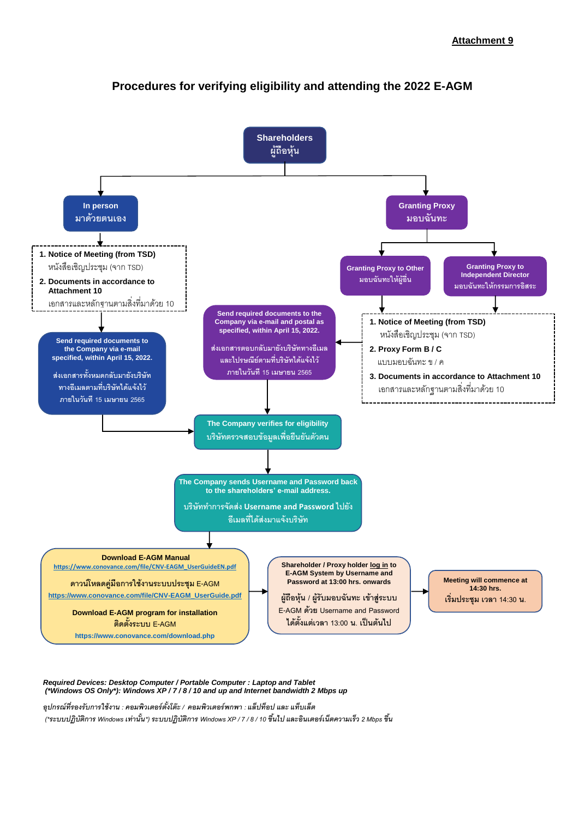

# **Procedures for verifying eligibility and attending the 2022 E-AGM**

*Required Devices: Desktop Computer / Portable Computer : Laptop and Tablet (\*Windows OS Only\*): Windows XP / 7 / 8 / 10 and up and Internet bandwidth 2 Mbps up* 

*อุปกรณ์ที่รองรับการใช้งาน : คอมพิวเตอร์ตัง้โต๊ะ/ คอมพิวเตอร์พกพา : แล็ปท็อป และ แท็บเล็ต* (\*ระบบปฏิบัติการ Windows เท่านั้น\*) ระบบปฏิบัติการ Windows XP / 7 / 8 / 10 ขึ้นไป และอินเตอร์เน็ตความเร็ว 2 Mbps ขึ้น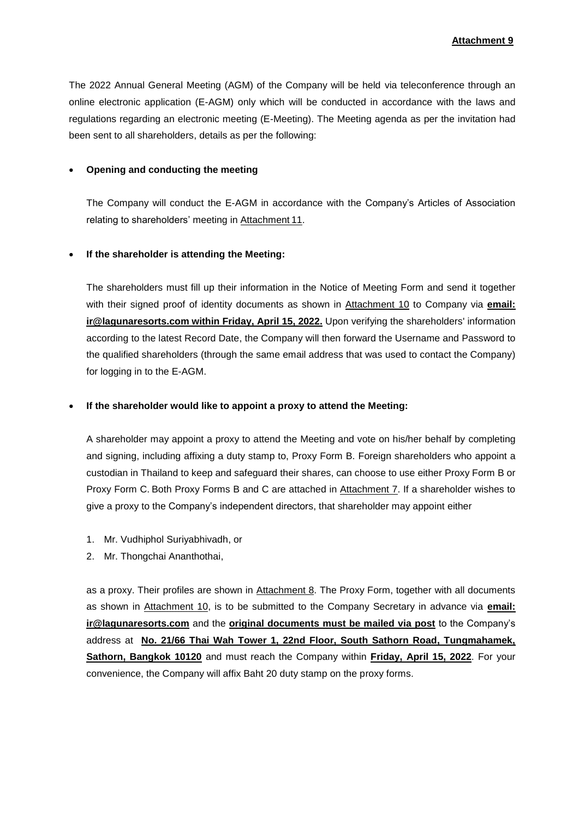The 2022 Annual General Meeting (AGM) of the Company will be held via teleconference through an online electronic application (E-AGM) only which will be conducted in accordance with the laws and regulations regarding an electronic meeting (E-Meeting). The Meeting agenda as per the invitation had been sent to all shareholders, details as per the following:

#### **Opening and conducting the meeting**

The Company will conduct the E-AGM in accordance with the Company's Articles of Association relating to shareholders' meeting in Attachment 11.

#### **If the shareholder is attending the Meeting:**

The shareholders must fill up their information in the Notice of Meeting Form and send it together with their signed proof of identity documents as shown in Attachment 10 to Company via **email: ir@lagunaresorts.com within Friday, April 15, 2022.** Upon verifying the shareholders' information according to the latest Record Date, the Company will then forward the Username and Password to the qualified shareholders (through the same email address that was used to contact the Company) for logging in to the E-AGM.

#### **If the shareholder would like to appoint a proxy to attend the Meeting:**

A shareholder may appoint a proxy to attend the Meeting and vote on his/her behalf by completing and signing, including affixing a duty stamp to, Proxy Form B. Foreign shareholders who appoint a custodian in Thailand to keep and safeguard their shares, can choose to use either Proxy Form B or Proxy Form C. Both Proxy Forms B and C are attached in Attachment 7. If a shareholder wishes to give a proxy to the Company's independent directors, that shareholder may appoint either

- 1. Mr. Vudhiphol Suriyabhivadh, or
- 2. Mr. Thongchai Ananthothai,

as a proxy. Their profiles are shown in Attachment 8. The Proxy Form, together with all documents as shown in Attachment 10, is to be submitted to the Company Secretary in advance via **email: [ir@lagunaresorts.com](mailto:ir@lagunaresorts.com)** and the **original documents must be mailed via post** to the Company's address at **No. 21/66 Thai Wah Tower 1, 22nd Floor, South Sathorn Road, Tungmahamek, Sathorn, Bangkok 10120** and must reach the Company within **Friday, April 15, 2022**. For your convenience, the Company will affix Baht 20 duty stamp on the proxy forms.